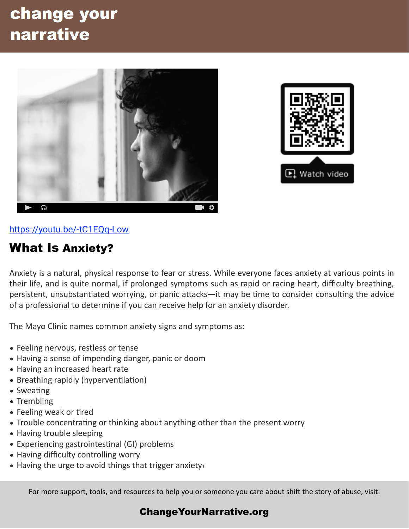## change your narrative





[https://youtu.be/-tC1EQq-Low](https://youtu.be/-tC1EQq-Low%22%20%5Ct%20%22_blank)

## What Is Anxiety?

Anxiety is a natural, physical response to fear or stress. While everyone faces anxiety at various points in their life, and is quite normal, if prolonged symptoms such as rapid or racing heart, difficulty breathing, persistent, unsubstantiated worrying, or panic attacks—it may be time to consider consulting the advice of a professional to determine if you can receive help for an anxiety disorder.

The Mayo Clinic names common anxiety signs and symptoms as:

- Feeling nervous, restless or tense
- Having a sense of impending danger, panic or doom
- Having an increased heart rate
- Breathing rapidly (hyperventilation)
- $\bullet$  Sweating
- Trembling
- Feeling weak or tired
- Trouble concentrating or thinking about anything other than the present worry
- Having trouble sleeping
- Experiencing gastrointestinal (GI) problems
- Having difficulty controlling worry
- Having the urge to avoid things that trigger anxiety $_1$

For more support, tools, and resources to help you or someone you care about shift the story of abuse, visit:

## [ChangeYourNarrative.org](http://ChangeYourNarrative.org)